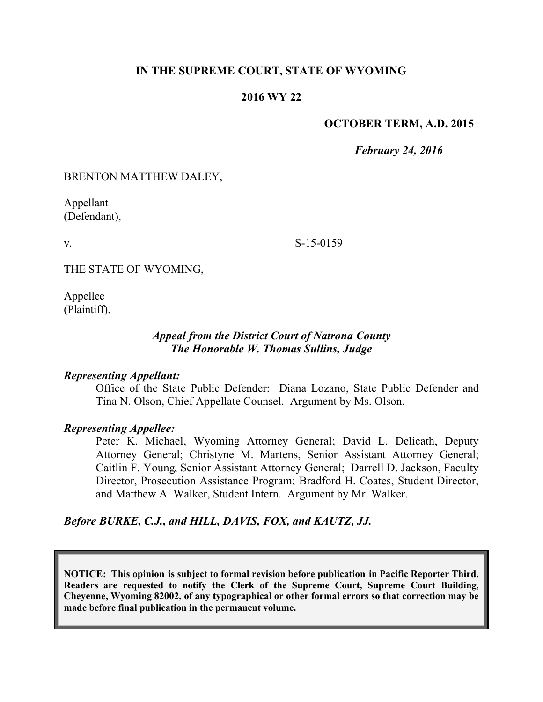### **IN THE SUPREME COURT, STATE OF WYOMING**

### **2016 WY 22**

### **OCTOBER TERM, A.D. 2015**

*February 24, 2016*

BRENTON MATTHEW DALEY,

Appellant (Defendant),

v.

S-15-0159

THE STATE OF WYOMING,

Appellee (Plaintiff).

## *Appeal from the District Court of Natrona County The Honorable W. Thomas Sullins, Judge*

### *Representing Appellant:*

Office of the State Public Defender: Diana Lozano, State Public Defender and Tina N. Olson, Chief Appellate Counsel. Argument by Ms. Olson.

#### *Representing Appellee:*

Peter K. Michael, Wyoming Attorney General; David L. Delicath, Deputy Attorney General; Christyne M. Martens, Senior Assistant Attorney General; Caitlin F. Young, Senior Assistant Attorney General; Darrell D. Jackson, Faculty Director, Prosecution Assistance Program; Bradford H. Coates, Student Director, and Matthew A. Walker, Student Intern. Argument by Mr. Walker.

*Before BURKE, C.J., and HILL, DAVIS, FOX, and KAUTZ, JJ.*

**NOTICE: This opinion is subject to formal revision before publication in Pacific Reporter Third. Readers are requested to notify the Clerk of the Supreme Court, Supreme Court Building, Cheyenne, Wyoming 82002, of any typographical or other formal errors so that correction may be made before final publication in the permanent volume.**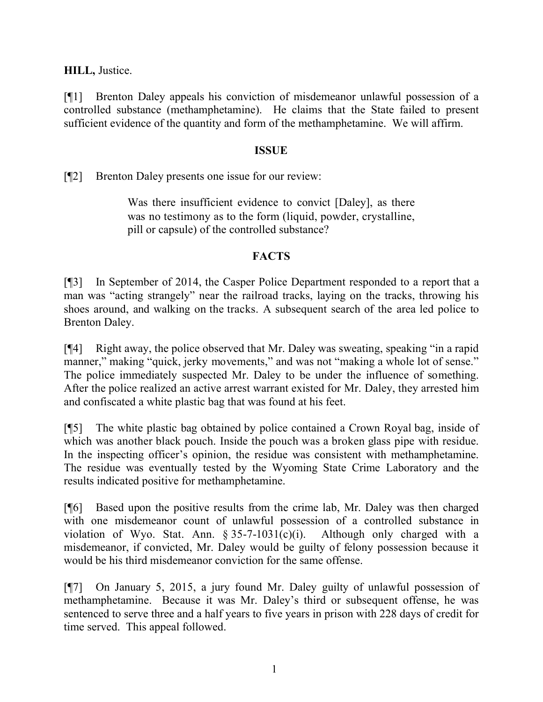**HILL,** Justice.

[¶1] Brenton Daley appeals his conviction of misdemeanor unlawful possession of a controlled substance (methamphetamine). He claims that the State failed to present sufficient evidence of the quantity and form of the methamphetamine. We will affirm.

## **ISSUE**

[¶2] Brenton Daley presents one issue for our review:

Was there insufficient evidence to convict [Daley], as there was no testimony as to the form (liquid, powder, crystalline, pill or capsule) of the controlled substance?

# **FACTS**

[¶3] In September of 2014, the Casper Police Department responded to a report that a man was "acting strangely" near the railroad tracks, laying on the tracks, throwing his shoes around, and walking on the tracks. A subsequent search of the area led police to Brenton Daley.

[¶4] Right away, the police observed that Mr. Daley was sweating, speaking "in a rapid manner," making "quick, jerky movements," and was not "making a whole lot of sense." The police immediately suspected Mr. Daley to be under the influence of something. After the police realized an active arrest warrant existed for Mr. Daley, they arrested him and confiscated a white plastic bag that was found at his feet.

[¶5] The white plastic bag obtained by police contained a Crown Royal bag, inside of which was another black pouch. Inside the pouch was a broken glass pipe with residue. In the inspecting officer's opinion, the residue was consistent with methamphetamine. The residue was eventually tested by the Wyoming State Crime Laboratory and the results indicated positive for methamphetamine.

[¶6] Based upon the positive results from the crime lab, Mr. Daley was then charged with one misdemeanor count of unlawful possession of a controlled substance in violation of Wyo. Stat. Ann.  $\S 35-7-1031(c)(i)$ . Although only charged with a misdemeanor, if convicted, Mr. Daley would be guilty of felony possession because it would be his third misdemeanor conviction for the same offense.

[¶7] On January 5, 2015, a jury found Mr. Daley guilty of unlawful possession of methamphetamine. Because it was Mr. Daley's third or subsequent offense, he was sentenced to serve three and a half years to five years in prison with 228 days of credit for time served. This appeal followed.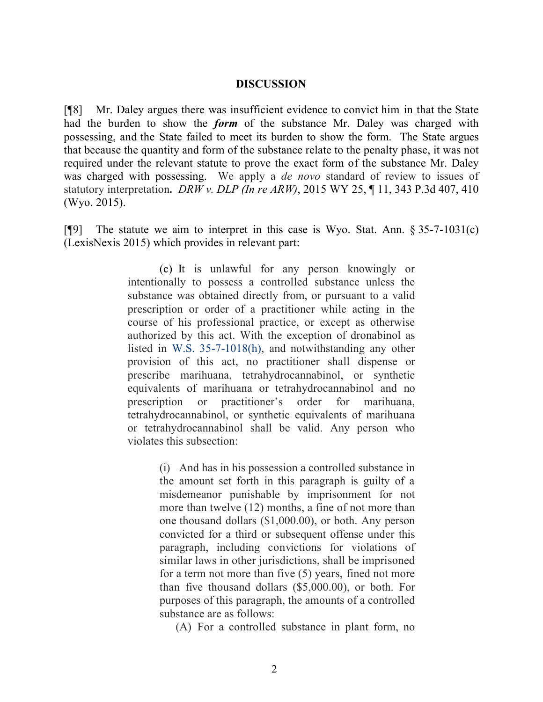#### **DISCUSSION**

[¶8] Mr. Daley argues there was insufficient evidence to convict him in that the State had the burden to show the *form* of the substance Mr. Daley was charged with possessing, and the State failed to meet its burden to show the form. The State argues that because the quantity and form of the substance relate to the penalty phase, it was not required under the relevant statute to prove the exact form of the substance Mr. Daley was charged with possessing. We apply a *de novo* standard of review to issues of statutory interpretation**.** *DRW v. DLP (In re ARW)*, 2015 WY 25, ¶ 11, 343 P.3d 407, 410 (Wyo. 2015).

[¶9] The statute we aim to interpret in this case is Wyo. Stat. Ann. § 35-7-1031(c) (LexisNexis 2015) which provides in relevant part:

> (c) It is unlawful for any person knowingly or intentionally to possess a controlled substance unless the substance was obtained directly from, or pursuant to a valid prescription or order of a practitioner while acting in the course of his professional practice, or except as otherwise authorized by this act. With the exception of dronabinol as listed in W.S. 35-7-1018(h), and notwithstanding any other provision of this act, no practitioner shall dispense or prescribe marihuana, tetrahydrocannabinol, or synthetic equivalents of marihuana or tetrahydrocannabinol and no prescription or practitioner's order for marihuana, tetrahydrocannabinol, or synthetic equivalents of marihuana or tetrahydrocannabinol shall be valid. Any person who violates this subsection:

> > (i) And has in his possession a controlled substance in the amount set forth in this paragraph is guilty of a misdemeanor punishable by imprisonment for not more than twelve (12) months, a fine of not more than one thousand dollars (\$1,000.00), or both. Any person convicted for a third or subsequent offense under this paragraph, including convictions for violations of similar laws in other jurisdictions, shall be imprisoned for a term not more than five (5) years, fined not more than five thousand dollars (\$5,000.00), or both. For purposes of this paragraph, the amounts of a controlled substance are as follows:

(A) For a controlled substance in plant form, no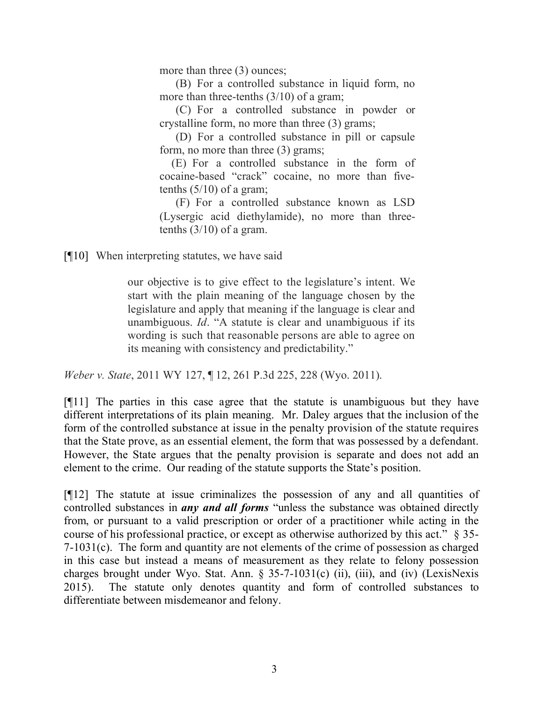more than three (3) ounces;

(B) For a controlled substance in liquid form, no more than three-tenths  $(3/10)$  of a gram;

(C)For a controlled substance in powder or crystalline form, no more than three (3) grams;

(D) For a controlled substance in pill or capsule form, no more than three (3) grams;

(E) For a controlled substance in the form of cocaine-based "crack" cocaine, no more than fivetenths  $(5/10)$  of a gram;

(F) For a controlled substance known as LSD (Lysergic acid diethylamide), no more than threetenths  $(3/10)$  of a gram.

[¶10] When interpreting statutes, we have said

our objective is to give effect to the legislature's intent. We start with the plain meaning of the language chosen by the legislature and apply that meaning if the language is clear and unambiguous. *Id*. "A statute is clear and unambiguous if its wording is such that reasonable persons are able to agree on its meaning with consistency and predictability."

*Weber v. State*, 2011 WY 127, ¶ 12, 261 P.3d 225, 228 (Wyo. 2011).

[¶11] The parties in this case agree that the statute is unambiguous but they have different interpretations of its plain meaning. Mr. Daley argues that the inclusion of the form of the controlled substance at issue in the penalty provision of the statute requires that the State prove, as an essential element, the form that was possessed by a defendant. However, the State argues that the penalty provision is separate and does not add an element to the crime. Our reading of the statute supports the State's position.

[¶12] The statute at issue criminalizes the possession of any and all quantities of controlled substances in *any and all forms* "unless the substance was obtained directly from, or pursuant to a valid prescription or order of a practitioner while acting in the course of his professional practice, or except as otherwise authorized by this act." § 35- 7-1031(c). The form and quantity are not elements of the crime of possession as charged in this case but instead a means of measurement as they relate to felony possession charges brought under Wyo. Stat. Ann. § 35-7-1031(c) (ii), (iii), and (iv) (LexisNexis 2015). The statute only denotes quantity and form of controlled substances to differentiate between misdemeanor and felony.